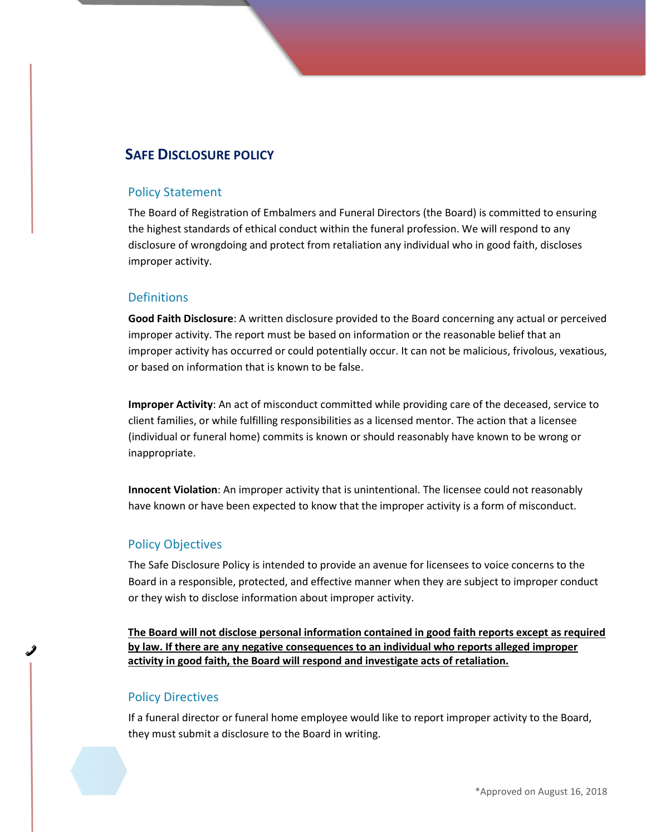# SAFE DISCLOSURE POLICY

#### Policy Statement

The Board of Registration of Embalmers and Funeral Directors (the Board) is committed to ensuring the highest standards of ethical conduct within the funeral profession. We will respond to any disclosure of wrongdoing and protect from retaliation any individual who in good faith, discloses improper activity.

### **Definitions**

Good Faith Disclosure: A written disclosure provided to the Board concerning any actual or perceived improper activity. The report must be based on information or the reasonable belief that an improper activity has occurred or could potentially occur. It can not be malicious, frivolous, vexatious, or based on information that is known to be false.

Improper Activity: An act of misconduct committed while providing care of the deceased, service to client families, or while fulfilling responsibilities as a licensed mentor. The action that a licensee (individual or funeral home) commits is known or should reasonably have known to be wrong or inappropriate.

Innocent Violation: An improper activity that is unintentional. The licensee could not reasonably have known or have been expected to know that the improper activity is a form of misconduct.

#### Policy Objectives

The Safe Disclosure Policy is intended to provide an avenue for licensees to voice concerns to the Board in a responsible, protected, and effective manner when they are subject to improper conduct or they wish to disclose information about improper activity.

The Board will not disclose personal information contained in good faith reports except as required by law. If there are any negative consequences to an individual who reports alleged improper activity in good faith, the Board will respond and investigate acts of retaliation.

#### Policy Directives

If a funeral director or funeral home employee would like to report improper activity to the Board, they must submit a disclosure to the Board in writing.